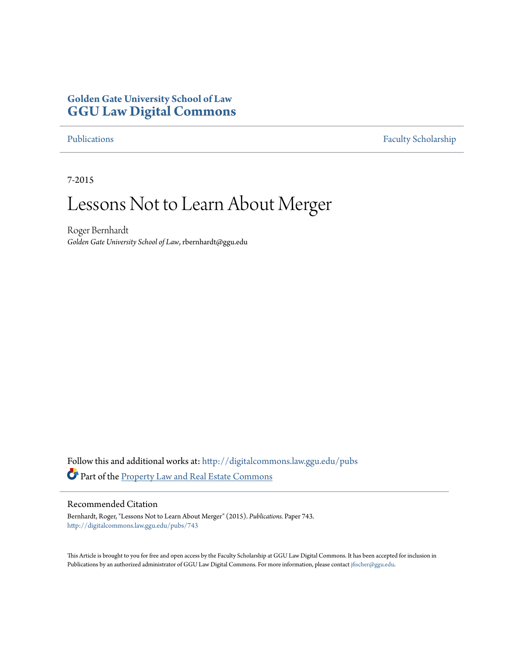# **Golden Gate University School of Law [GGU Law Digital Commons](http://digitalcommons.law.ggu.edu?utm_source=digitalcommons.law.ggu.edu%2Fpubs%2F743&utm_medium=PDF&utm_campaign=PDFCoverPages)**

[Publications](http://digitalcommons.law.ggu.edu/pubs?utm_source=digitalcommons.law.ggu.edu%2Fpubs%2F743&utm_medium=PDF&utm_campaign=PDFCoverPages) [Faculty Scholarship](http://digitalcommons.law.ggu.edu/facultyschol?utm_source=digitalcommons.law.ggu.edu%2Fpubs%2F743&utm_medium=PDF&utm_campaign=PDFCoverPages)

7-2015

# Lessons Not to Learn About Merger

Roger Bernhardt *Golden Gate University School of Law*, rbernhardt@ggu.edu

Follow this and additional works at: [http://digitalcommons.law.ggu.edu/pubs](http://digitalcommons.law.ggu.edu/pubs?utm_source=digitalcommons.law.ggu.edu%2Fpubs%2F743&utm_medium=PDF&utm_campaign=PDFCoverPages) Part of the **[Property Law and Real Estate Commons](http://network.bepress.com/hgg/discipline/897?utm_source=digitalcommons.law.ggu.edu%2Fpubs%2F743&utm_medium=PDF&utm_campaign=PDFCoverPages)** 

#### Recommended Citation

Bernhardt, Roger, "Lessons Not to Learn About Merger" (2015). *Publications.* Paper 743. [http://digitalcommons.law.ggu.edu/pubs/743](http://digitalcommons.law.ggu.edu/pubs/743?utm_source=digitalcommons.law.ggu.edu%2Fpubs%2F743&utm_medium=PDF&utm_campaign=PDFCoverPages)

This Article is brought to you for free and open access by the Faculty Scholarship at GGU Law Digital Commons. It has been accepted for inclusion in Publications by an authorized administrator of GGU Law Digital Commons. For more information, please contact [jfischer@ggu.edu](mailto:jfischer@ggu.edu).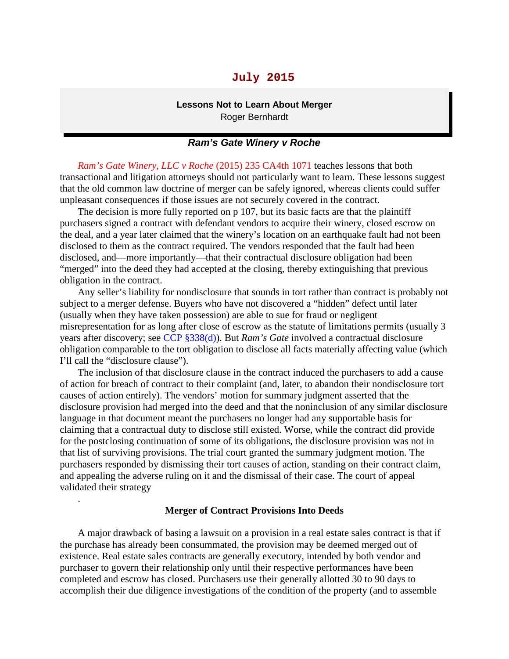## **July 2015**

#### **Lessons Not to Learn About Merger** Roger Bernhardt

#### *Ram's Gate Winery v Roche*

*Ram's Gate Winery, LLC v Roche* (2015) 235 CA4th 1071 teaches lessons that both transactional and litigation attorneys should not particularly want to learn. These lessons suggest that the old common law doctrine of merger can be safely ignored, whereas clients could suffer unpleasant consequences if those issues are not securely covered in the contract.

The decision is more fully reported on p 107, but its basic facts are that the plaintiff purchasers signed a contract with defendant vendors to acquire their winery, closed escrow on the deal, and a year later claimed that the winery's location on an earthquake fault had not been disclosed to them as the contract required. The vendors responded that the fault had been disclosed, and—more importantly—that their contractual disclosure obligation had been "merged" into the deed they had accepted at the closing, thereby extinguishing that previous obligation in the contract.

Any seller's liability for nondisclosure that sounds in tort rather than contract is probably not subject to a merger defense. Buyers who have not discovered a "hidden" defect until later (usually when they have taken possession) are able to sue for fraud or negligent misrepresentation for as long after close of escrow as the statute of limitations permits (usually 3 years after discovery; see CCP §338(d)). But *Ram's Gate* involved a contractual disclosure obligation comparable to the tort obligation to disclose all facts materially affecting value (which I'll call the "disclosure clause").

The inclusion of that disclosure clause in the contract induced the purchasers to add a cause of action for breach of contract to their complaint (and, later, to abandon their nondisclosure tort causes of action entirely). The vendors' motion for summary judgment asserted that the disclosure provision had merged into the deed and that the noninclusion of any similar disclosure language in that document meant the purchasers no longer had any supportable basis for claiming that a contractual duty to disclose still existed. Worse, while the contract did provide for the postclosing continuation of some of its obligations, the disclosure provision was not in that list of surviving provisions. The trial court granted the summary judgment motion. The purchasers responded by dismissing their tort causes of action, standing on their contract claim, and appealing the adverse ruling on it and the dismissal of their case. The court of appeal validated their strategy

#### **Merger of Contract Provisions Into Deeds**

.

A major drawback of basing a lawsuit on a provision in a real estate sales contract is that if the purchase has already been consummated, the provision may be deemed merged out of existence. Real estate sales contracts are generally executory, intended by both vendor and purchaser to govern their relationship only until their respective performances have been completed and escrow has closed. Purchasers use their generally allotted 30 to 90 days to accomplish their due diligence investigations of the condition of the property (and to assemble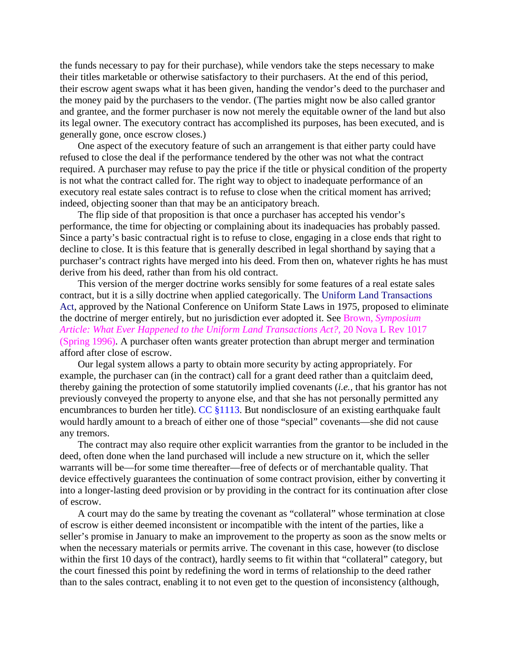the funds necessary to pay for their purchase), while vendors take the steps necessary to make their titles marketable or otherwise satisfactory to their purchasers. At the end of this period, their escrow agent swaps what it has been given, handing the vendor's deed to the purchaser and the money paid by the purchasers to the vendor. (The parties might now be also called grantor and grantee, and the former purchaser is now not merely the equitable owner of the land but also its legal owner. The executory contract has accomplished its purposes, has been executed, and is generally gone, once escrow closes.)

One aspect of the executory feature of such an arrangement is that either party could have refused to close the deal if the performance tendered by the other was not what the contract required. A purchaser may refuse to pay the price if the title or physical condition of the property is not what the contract called for. The right way to object to inadequate performance of an executory real estate sales contract is to refuse to close when the critical moment has arrived; indeed, objecting sooner than that may be an anticipatory breach.

The flip side of that proposition is that once a purchaser has accepted his vendor's performance, the time for objecting or complaining about its inadequacies has probably passed. Since a party's basic contractual right is to refuse to close, engaging in a close ends that right to decline to close. It is this feature that is generally described in legal shorthand by saying that a purchaser's contract rights have merged into his deed. From then on, whatever rights he has must derive from his deed, rather than from his old contract.

This version of the merger doctrine works sensibly for some features of a real estate sales contract, but it is a silly doctrine when applied categorically. The Uniform Land Transactions Act, approved by the National Conference on Uniform State Laws in 1975, proposed to eliminate the doctrine of merger entirely, but no jurisdiction ever adopted it. See Brown, *Symposium Article: What Ever Happened to the Uniform Land Transactions Act?,* 20 Nova L Rev 1017 (Spring 1996). A purchaser often wants greater protection than abrupt merger and termination afford after close of escrow.

Our legal system allows a party to obtain more security by acting appropriately. For example, the purchaser can (in the contract) call for a grant deed rather than a quitclaim deed, thereby gaining the protection of some statutorily implied covenants (*i.e.,* that his grantor has not previously conveyed the property to anyone else, and that she has not personally permitted any encumbrances to burden her title). CC §1113. But nondisclosure of an existing earthquake fault would hardly amount to a breach of either one of those "special" covenants—she did not cause any tremors.

The contract may also require other explicit warranties from the grantor to be included in the deed, often done when the land purchased will include a new structure on it, which the seller warrants will be—for some time thereafter—free of defects or of merchantable quality. That device effectively guarantees the continuation of some contract provision, either by converting it into a longer-lasting deed provision or by providing in the contract for its continuation after close of escrow.

A court may do the same by treating the covenant as "collateral" whose termination at close of escrow is either deemed inconsistent or incompatible with the intent of the parties, like a seller's promise in January to make an improvement to the property as soon as the snow melts or when the necessary materials or permits arrive. The covenant in this case, however (to disclose within the first 10 days of the contract), hardly seems to fit within that "collateral" category, but the court finessed this point by redefining the word in terms of relationship to the deed rather than to the sales contract, enabling it to not even get to the question of inconsistency (although,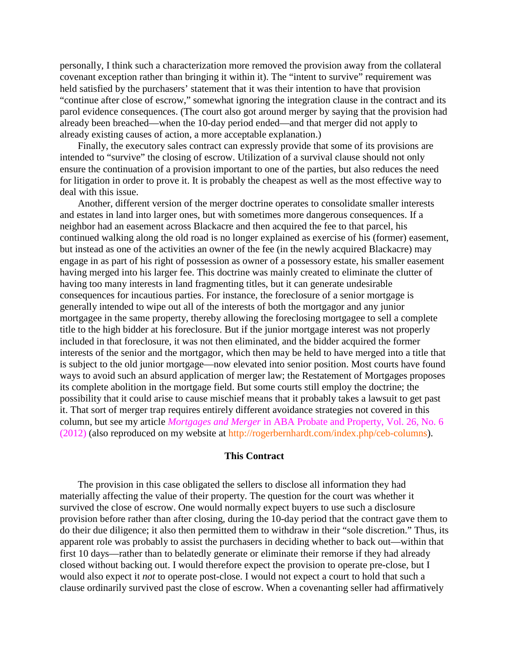personally, I think such a characterization more removed the provision away from the collateral covenant exception rather than bringing it within it). The "intent to survive" requirement was held satisfied by the purchasers' statement that it was their intention to have that provision "continue after close of escrow," somewhat ignoring the integration clause in the contract and its parol evidence consequences. (The court also got around merger by saying that the provision had already been breached—when the 10-day period ended—and that merger did not apply to already existing causes of action, a more acceptable explanation.)

Finally, the executory sales contract can expressly provide that some of its provisions are intended to "survive" the closing of escrow. Utilization of a survival clause should not only ensure the continuation of a provision important to one of the parties, but also reduces the need for litigation in order to prove it. It is probably the cheapest as well as the most effective way to deal with this issue.

Another, different version of the merger doctrine operates to consolidate smaller interests and estates in land into larger ones, but with sometimes more dangerous consequences. If a neighbor had an easement across Blackacre and then acquired the fee to that parcel, his continued walking along the old road is no longer explained as exercise of his (former) easement, but instead as one of the activities an owner of the fee (in the newly acquired Blackacre) may engage in as part of his right of possession as owner of a possessory estate, his smaller easement having merged into his larger fee. This doctrine was mainly created to eliminate the clutter of having too many interests in land fragmenting titles, but it can generate undesirable consequences for incautious parties. For instance, the foreclosure of a senior mortgage is generally intended to wipe out all of the interests of both the mortgagor and any junior mortgagee in the same property, thereby allowing the foreclosing mortgagee to sell a complete title to the high bidder at his foreclosure. But if the junior mortgage interest was not properly included in that foreclosure, it was not then eliminated, and the bidder acquired the former interests of the senior and the mortgagor, which then may be held to have merged into a title that is subject to the old junior mortgage—now elevated into senior position. Most courts have found ways to avoid such an absurd application of merger law; the Restatement of Mortgages proposes its complete abolition in the mortgage field. But some courts still employ the doctrine; the possibility that it could arise to cause mischief means that it probably takes a lawsuit to get past it. That sort of merger trap requires entirely different avoidance strategies not covered in this column, but see my article *Mortgages and Merger* in ABA Probate and Property, Vol. 26, No. 6 (2012) (also reproduced on my website at http://rogerbernhardt.com/index.php/ceb-columns).

#### **This Contract**

The provision in this case obligated the sellers to disclose all information they had materially affecting the value of their property. The question for the court was whether it survived the close of escrow. One would normally expect buyers to use such a disclosure provision before rather than after closing, during the 10-day period that the contract gave them to do their due diligence; it also then permitted them to withdraw in their "sole discretion." Thus, its apparent role was probably to assist the purchasers in deciding whether to back out—within that first 10 days—rather than to belatedly generate or eliminate their remorse if they had already closed without backing out. I would therefore expect the provision to operate pre-close, but I would also expect it *not* to operate post-close. I would not expect a court to hold that such a clause ordinarily survived past the close of escrow. When a covenanting seller had affirmatively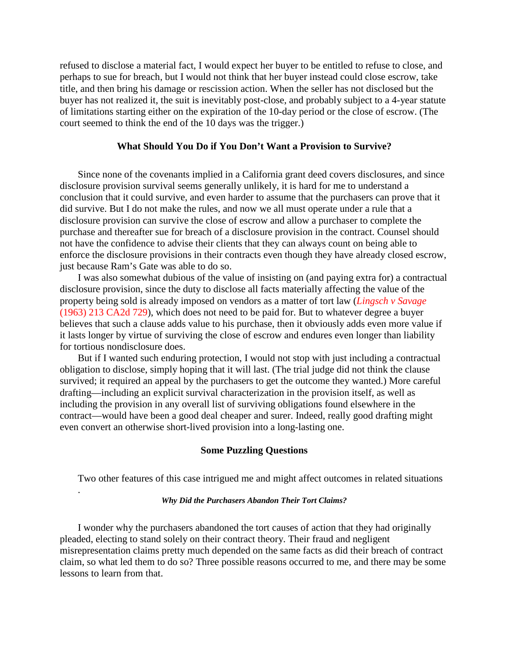refused to disclose a material fact, I would expect her buyer to be entitled to refuse to close, and perhaps to sue for breach, but I would not think that her buyer instead could close escrow, take title, and then bring his damage or rescission action. When the seller has not disclosed but the buyer has not realized it, the suit is inevitably post-close, and probably subject to a 4-year statute of limitations starting either on the expiration of the 10-day period or the close of escrow. (The court seemed to think the end of the 10 days was the trigger.)

### **What Should You Do if You Don't Want a Provision to Survive?**

Since none of the covenants implied in a California grant deed covers disclosures, and since disclosure provision survival seems generally unlikely, it is hard for me to understand a conclusion that it could survive, and even harder to assume that the purchasers can prove that it did survive. But I do not make the rules, and now we all must operate under a rule that a disclosure provision can survive the close of escrow and allow a purchaser to complete the purchase and thereafter sue for breach of a disclosure provision in the contract. Counsel should not have the confidence to advise their clients that they can always count on being able to enforce the disclosure provisions in their contracts even though they have already closed escrow, just because Ram's Gate was able to do so.

I was also somewhat dubious of the value of insisting on (and paying extra for) a contractual disclosure provision, since the duty to disclose all facts materially affecting the value of the property being sold is already imposed on vendors as a matter of tort law (*Lingsch v Savage* (1963) 213 CA2d 729), which does not need to be paid for. But to whatever degree a buyer believes that such a clause adds value to his purchase, then it obviously adds even more value if it lasts longer by virtue of surviving the close of escrow and endures even longer than liability for tortious nondisclosure does.

But if I wanted such enduring protection, I would not stop with just including a contractual obligation to disclose, simply hoping that it will last. (The trial judge did not think the clause survived; it required an appeal by the purchasers to get the outcome they wanted.) More careful drafting—including an explicit survival characterization in the provision itself, as well as including the provision in any overall list of surviving obligations found elsewhere in the contract—would have been a good deal cheaper and surer. Indeed, really good drafting might even convert an otherwise short-lived provision into a long-lasting one.

#### **Some Puzzling Questions**

Two other features of this case intrigued me and might affect outcomes in related situations

#### *Why Did the Purchasers Abandon Their Tort Claims?*

.

I wonder why the purchasers abandoned the tort causes of action that they had originally pleaded, electing to stand solely on their contract theory. Their fraud and negligent misrepresentation claims pretty much depended on the same facts as did their breach of contract claim, so what led them to do so? Three possible reasons occurred to me, and there may be some lessons to learn from that.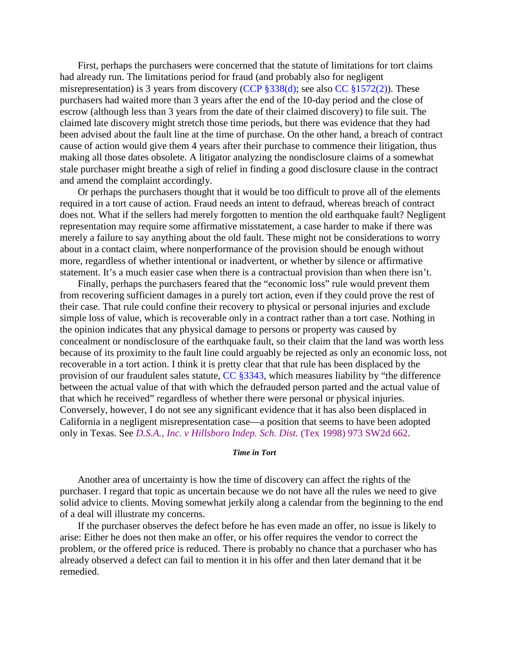First, perhaps the purchasers were concerned that the statute of limitations for tort claims had already run. The limitations period for fraud (and probably also for negligent misrepresentation) is 3 years from discovery (CCP §338(d); see also CC §1572(2)). These purchasers had waited more than 3 years after the end of the 10-day period and the close of escrow (although less than 3 years from the date of their claimed discovery) to file suit. The claimed late discovery might stretch those time periods, but there was evidence that they had been advised about the fault line at the time of purchase. On the other hand, a breach of contract cause of action would give them 4 years after their purchase to commence their litigation, thus making all those dates obsolete. A litigator analyzing the nondisclosure claims of a somewhat stale purchaser might breathe a sigh of relief in finding a good disclosure clause in the contract and amend the complaint accordingly.

Or perhaps the purchasers thought that it would be too difficult to prove all of the elements required in a tort cause of action. Fraud needs an intent to defraud, whereas breach of contract does not. What if the sellers had merely forgotten to mention the old earthquake fault? Negligent representation may require some affirmative misstatement, a case harder to make if there was merely a failure to say anything about the old fault. These might not be considerations to worry about in a contact claim, where nonperformance of the provision should be enough without more, regardless of whether intentional or inadvertent, or whether by silence or affirmative statement. It's a much easier case when there is a contractual provision than when there isn't.

Finally, perhaps the purchasers feared that the "economic loss" rule would prevent them from recovering sufficient damages in a purely tort action, even if they could prove the rest of their case. That rule could confine their recovery to physical or personal injuries and exclude simple loss of value, which is recoverable only in a contract rather than a tort case. Nothing in the opinion indicates that any physical damage to persons or property was caused by concealment or nondisclosure of the earthquake fault, so their claim that the land was worth less because of its proximity to the fault line could arguably be rejected as only an economic loss, not recoverable in a tort action. I think it is pretty clear that that rule has been displaced by the provision of our fraudulent sales statute, CC §3343, which measures liability by "the difference between the actual value of that with which the defrauded person parted and the actual value of that which he received" regardless of whether there were personal or physical injuries. Conversely, however, I do not see any significant evidence that it has also been displaced in California in a negligent misrepresentation case—a position that seems to have been adopted only in Texas. See *D.S.A., Inc. v Hillsboro Indep. Sch. Dist.* (Tex 1998) 973 SW2d 662.

#### *Time in Tort*

Another area of uncertainty is how the time of discovery can affect the rights of the purchaser. I regard that topic as uncertain because we do not have all the rules we need to give solid advice to clients. Moving somewhat jerkily along a calendar from the beginning to the end of a deal will illustrate my concerns.

If the purchaser observes the defect before he has even made an offer, no issue is likely to arise: Either he does not then make an offer, or his offer requires the vendor to correct the problem, or the offered price is reduced. There is probably no chance that a purchaser who has already observed a defect can fail to mention it in his offer and then later demand that it be remedied.